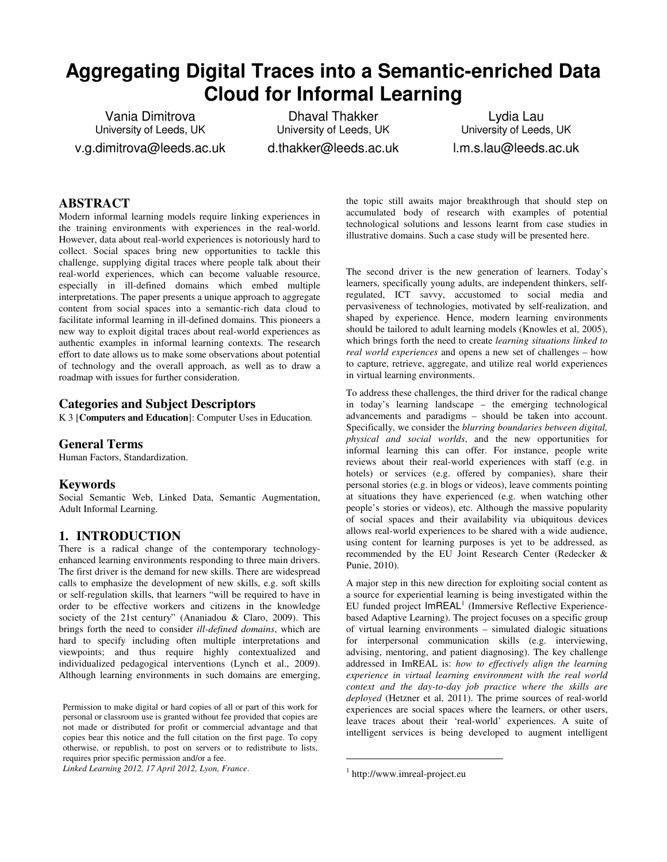# **Aggregating Digital Traces into a Semantic-enriched Data Cloud for Informal Learning**

Vania Dimitrova University of Leeds, UK v.g.dimitrova@leeds.ac.uk

Dhaval Thakker University of Leeds, UK d.thakker@leeds.ac.uk

Lydia Lau University of Leeds, UK l.m.s.lau@leeds.ac.uk

# **ABSTRACT**

Modern informal learning models require linking experiences in the training environments with experiences in the real-world. However, data about real-world experiences is notoriously hard to collect. Social spaces bring new opportunities to tackle this challenge, supplying digital traces where people talk about their real-world experiences, which can become valuable resource, especially in ill-defined domains which embed multiple interpretations. The paper presents a unique approach to aggregate content from social spaces into a semantic-rich data cloud to facilitate informal learning in ill-defined domains. This pioneers a new way to exploit digital traces about real-world experiences as authentic examples in informal learning contexts. The research effort to date allows us to make some observations about potential of technology and the overall approach, as well as to draw a roadmap with issues for further consideration.

# **Categories and Subject Descriptors**

K 3 [**Computers and Education**]: Computer Uses in Education*.* 

# **General Terms**

Human Factors, Standardization.

# **Keywords**

Social Semantic Web, Linked Data, Semantic Augmentation, Adult Informal Learning.

# **1. INTRODUCTION**

There is a radical change of the contemporary technologyenhanced learning environments responding to three main drivers. The first driver is the demand for new skills. There are widespread calls to emphasize the development of new skills, e.g. soft skills or self-regulation skills, that learners "will be required to have in order to be effective workers and citizens in the knowledge society of the 21st century" (Ananiadou & Claro, 2009). This brings forth the need to consider *ill-defined domains*, which are hard to specify including often multiple interpretations and viewpoints; and thus require highly contextualized and individualized pedagogical interventions (Lynch et al., 2009). Although learning environments in such domains are emerging,

*Linked Learning 2012, 17 April 2012, Lyon, France*.

the topic still awaits major breakthrough that should step on accumulated body of research with examples of potential technological solutions and lessons learnt from case studies in illustrative domains. Such a case study will be presented here.

The second driver is the new generation of learners. Today's learners, specifically young adults, are independent thinkers, selfregulated, ICT savvy, accustomed to social media and pervasiveness of technologies, motivated by self-realization, and shaped by experience. Hence, modern learning environments should be tailored to adult learning models (Knowles et al, 2005), which brings forth the need to create *learning situations linked to real world experiences* and opens a new set of challenges – how to capture, retrieve, aggregate, and utilize real world experiences in virtual learning environments.

To address these challenges, the third driver for the radical change in today's learning landscape – the emerging technological advancements and paradigms – should be taken into account. Specifically, we consider the *blurring boundaries between digital, physical and social worlds*, and the new opportunities for informal learning this can offer. For instance, people write reviews about their real-world experiences with staff (e.g. in hotels) or services (e.g. offered by companies), share their personal stories (e.g. in blogs or videos), leave comments pointing at situations they have experienced (e.g. when watching other people's stories or videos), etc. Although the massive popularity of social spaces and their availability via ubiquitous devices allows real-world experiences to be shared with a wide audience, using content for learning purposes is yet to be addressed, as recommended by the EU Joint Research Center (Redecker & Punie, 2010).

A major step in this new direction for exploiting social content as a source for experiential learning is being investigated within the EU funded project ImREAL<sup>1</sup> (Immersive Reflective Experiencebased Adaptive Learning). The project focuses on a specific group of virtual learning environments – simulated dialogic situations for interpersonal communication skills (e.g. interviewing, advising, mentoring, and patient diagnosing). The key challenge addressed in ImREAL is: *how to effectively align the learning experience in virtual learning environment with the real world context and the day-to-day job practice where the skills are deployed* (Hetzner et al, 2011). The prime sources of real-world experiences are social spaces where the learners, or other users, leave traces about their 'real-world' experiences. A suite of intelligent services is being developed to augment intelligent

1

Permission to make digital or hard copies of all or part of this work for personal or classroom use is granted without fee provided that copies are not made or distributed for profit or commercial advantage and that copies bear this notice and the full citation on the first page. To copy otherwise, or republish, to post on servers or to redistribute to lists, requires prior specific permission and/or a fee.

<sup>1</sup> http://www.imreal-project.eu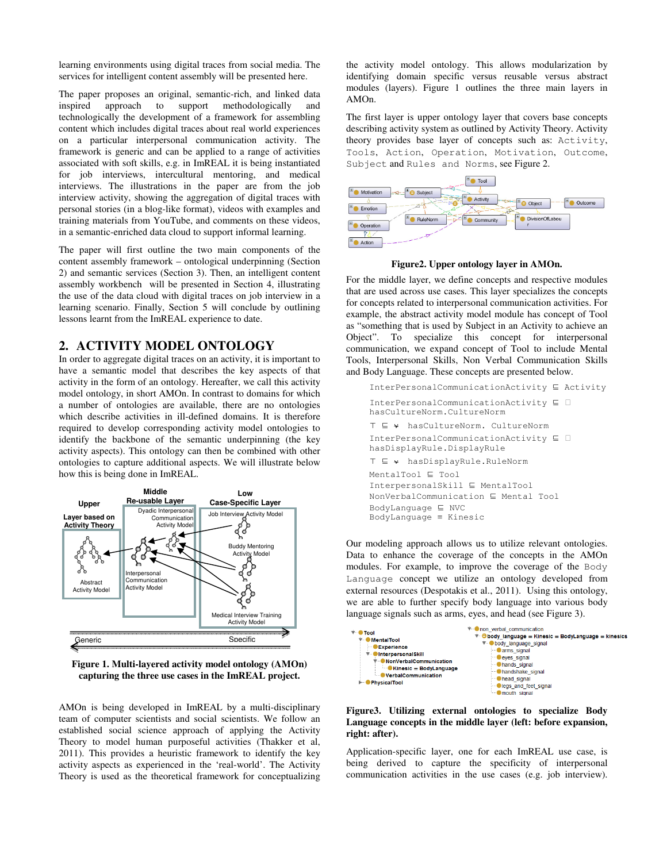learning environments using digital traces from social media. The services for intelligent content assembly will be presented here.

The paper proposes an original, semantic-rich, and linked data inspired approach to support methodologically and technologically the development of a framework for assembling content which includes digital traces about real world experiences on a particular interpersonal communication activity. The framework is generic and can be applied to a range of activities associated with soft skills, e.g. in ImREAL it is being instantiated for job interviews, intercultural mentoring, and medical interviews. The illustrations in the paper are from the job interview activity, showing the aggregation of digital traces with personal stories (in a blog-like format), videos with examples and training materials from YouTube, and comments on these videos, in a semantic-enriched data cloud to support informal learning.

The paper will first outline the two main components of the content assembly framework – ontological underpinning (Section 2) and semantic services (Section 3). Then, an intelligent content assembly workbench will be presented in Section 4, illustrating the use of the data cloud with digital traces on job interview in a learning scenario. Finally, Section 5 will conclude by outlining lessons learnt from the ImREAL experience to date.

# **2. ACTIVITY MODEL ONTOLOGY**

In order to aggregate digital traces on an activity, it is important to have a semantic model that describes the key aspects of that activity in the form of an ontology. Hereafter, we call this activity model ontology, in short AMOn. In contrast to domains for which a number of ontologies are available, there are no ontologies which describe activities in ill-defined domains. It is therefore required to develop corresponding activity model ontologies to identify the backbone of the semantic underpinning (the key activity aspects). This ontology can then be combined with other ontologies to capture additional aspects. We will illustrate below how this is being done in ImREAL.



**Figure 1. Multi-layered activity model ontology (AMOn) capturing the three use cases in the ImREAL project.** 

AMOn is being developed in ImREAL by a multi-disciplinary team of computer scientists and social scientists. We follow an established social science approach of applying the Activity Theory to model human purposeful activities (Thakker et al, 2011). This provides a heuristic framework to identify the key activity aspects as experienced in the 'real-world'. The Activity Theory is used as the theoretical framework for conceptualizing the activity model ontology. This allows modularization by identifying domain specific versus reusable versus abstract modules (layers). Figure 1 outlines the three main layers in AMOn.

The first layer is upper ontology layer that covers base concepts describing activity system as outlined by Activity Theory. Activity theory provides base layer of concepts such as: Activity, Tools, Action, Operation, Motivation, Outcome, Subject and Rules and Norms, see Figure 2.



**Figure2. Upper ontology layer in AMOn.** 

For the middle layer, we define concepts and respective modules that are used across use cases. This layer specializes the concepts for concepts related to interpersonal communication activities. For example, the abstract activity model module has concept of Tool as "something that is used by Subject in an Activity to achieve an Object". To specialize this concept for interpersonal communication, we expand concept of Tool to include Mental Tools, Interpersonal Skills, Non Verbal Communication Skills and Body Language. These concepts are presented below.

```
InterPersonalCommunicationActivity \subseteq ActivityInterPersonalCommunicationActivity  
hasCultureNorm.CultureNorm 
\top  ⍱ hasCultureNorm. CultureNorm 
InterPersonalCommunicationActivity  
hasDisplayRule.DisplayRule 
T ⊑ * hasDisplayRule.RuleNorm
MentalTool \subseteq Tool
InterpersonalSkill \subseteq MentalTool
NonVerbalCommunication \subseteq Mental ToolBodyLanguage \subseteq NVC
BodyLanguage ≡ Kinesic
```
Our modeling approach allows us to utilize relevant ontologies. Data to enhance the coverage of the concepts in the AMOn modules. For example, to improve the coverage of the Body Language concept we utilize an ontology developed from external resources (Despotakis et al., 2011). Using this ontology, we are able to further specify body language into various body language signals such as arms, eyes, and head (see Figure 3).



**Figure3. Utilizing external ontologies to specialize Body Language concepts in the middle layer (left: before expansion, right: after).** 

Application-specific layer, one for each ImREAL use case, is being derived to capture the specificity of interpersonal communication activities in the use cases (e.g. job interview).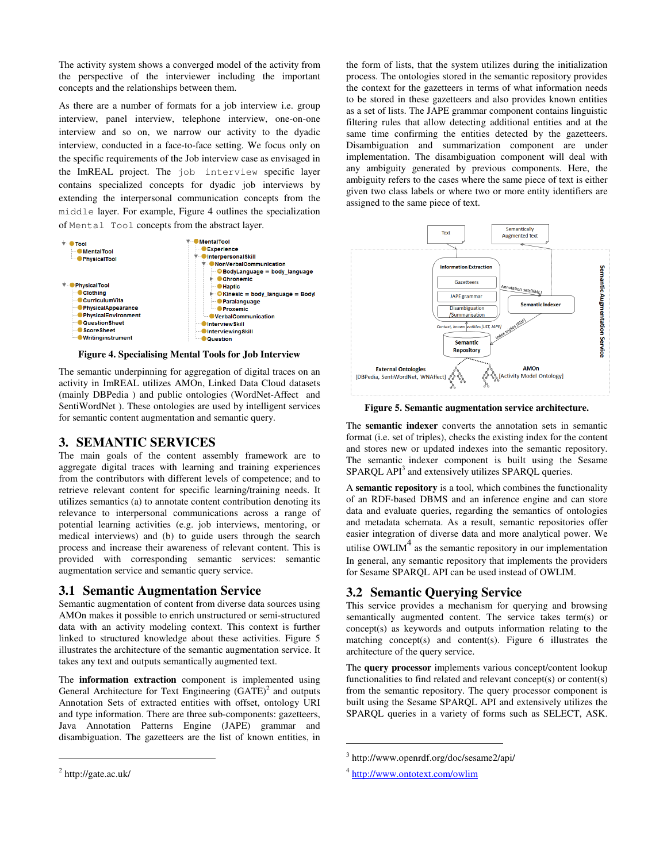The activity system shows a converged model of the activity from the perspective of the interviewer including the important concepts and the relationships between them.

As there are a number of formats for a job interview i.e. group interview, panel interview, telephone interview, one-on-one interview and so on, we narrow our activity to the dyadic interview, conducted in a face-to-face setting. We focus only on the specific requirements of the Job interview case as envisaged in the ImREAL project. The job interview specific layer contains specialized concepts for dyadic job interviews by extending the interpersonal communication concepts from the middle layer. For example, Figure 4 outlines the specialization of Mental Tool concepts from the abstract layer.



**Figure 4. Specialising Mental Tools for Job Interview** 

The semantic underpinning for aggregation of digital traces on an activity in ImREAL utilizes AMOn, Linked Data Cloud datasets (mainly DBPedia ) and public ontologies (WordNet-Affect and SentiWordNet ). These ontologies are used by intelligent services for semantic content augmentation and semantic query.

# **3. SEMANTIC SERVICES**

The main goals of the content assembly framework are to aggregate digital traces with learning and training experiences from the contributors with different levels of competence; and to retrieve relevant content for specific learning/training needs. It utilizes semantics (a) to annotate content contribution denoting its relevance to interpersonal communications across a range of potential learning activities (e.g. job interviews, mentoring, or medical interviews) and (b) to guide users through the search process and increase their awareness of relevant content. This is provided with corresponding semantic services: semantic augmentation service and semantic query service.

#### **3.1 Semantic Augmentation Service**

Semantic augmentation of content from diverse data sources using AMOn makes it possible to enrich unstructured or semi-structured data with an activity modeling context. This context is further linked to structured knowledge about these activities. Figure 5 illustrates the architecture of the semantic augmentation service. It takes any text and outputs semantically augmented text.

The **information extraction** component is implemented using General Architecture for Text Engineering  $(GATE)^2$  and outputs Annotation Sets of extracted entities with offset, ontology URI and type information. There are three sub-components: gazetteers, Java Annotation Patterns Engine (JAPE) grammar and disambiguation. The gazetteers are the list of known entities, in

1

the form of lists, that the system utilizes during the initialization process. The ontologies stored in the semantic repository provides the context for the gazetteers in terms of what information needs to be stored in these gazetteers and also provides known entities as a set of lists. The JAPE grammar component contains linguistic filtering rules that allow detecting additional entities and at the same time confirming the entities detected by the gazetteers. Disambiguation and summarization component are under implementation. The disambiguation component will deal with any ambiguity generated by previous components. Here, the ambiguity refers to the cases where the same piece of text is either given two class labels or where two or more entity identifiers are assigned to the same piece of text.



**Figure 5. Semantic augmentation service architecture.** 

The **semantic indexer** converts the annotation sets in semantic format (i.e. set of triples), checks the existing index for the content and stores new or updated indexes into the semantic repository. The semantic indexer component is built using the Sesame SPARQL API<sup>3</sup> and extensively utilizes SPARQL queries.

A **semantic repository** is a tool, which combines the functionality of an RDF-based DBMS and an inference engine and can store data and evaluate queries, regarding the semantics of ontologies and metadata schemata. As a result, semantic repositories offer easier integration of diverse data and more analytical power. We utilise OWLIM $4$  as the semantic repository in our implementation In general, any semantic repository that implements the providers for Sesame SPARQL API can be used instead of OWLIM.

# **3.2 Semantic Querying Service**

This service provides a mechanism for querying and browsing semantically augmented content. The service takes term(s) or concept(s) as keywords and outputs information relating to the matching concept(s) and content(s). Figure 6 illustrates the architecture of the query service.

The **query processor** implements various concept/content lookup functionalities to find related and relevant concept(s) or content(s) from the semantic repository. The query processor component is built using the Sesame SPARQL API and extensively utilizes the SPARQL queries in a variety of forms such as SELECT, ASK.

1

 $2$  http://gate.ac.uk/

<sup>3</sup> http://www.openrdf.org/doc/sesame2/api/

<sup>&</sup>lt;sup>4</sup> http://www.ontotext.com/owlim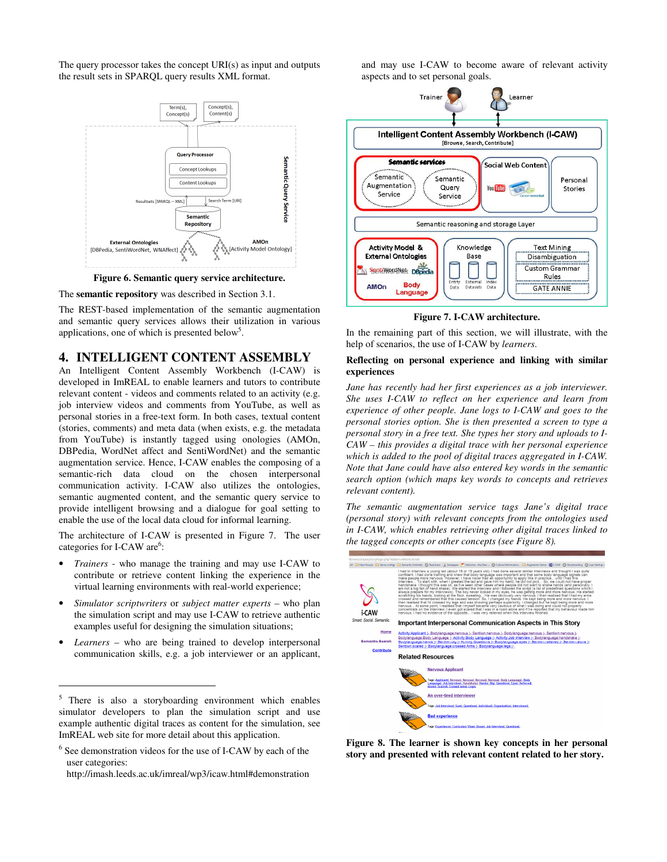The query processor takes the concept URI(s) as input and outputs the result sets in SPARQL query results XML format.





The **semantic repository** was described in Section 3.1.

The REST-based implementation of the semantic augmentation and semantic query services allows their utilization in various applications, one of which is presented below<sup>5</sup>.

#### **4. INTELLIGENT CONTENT ASSEMBLY**

An Intelligent Content Assembly Workbench (I-CAW) is developed in ImREAL to enable learners and tutors to contribute relevant content - videos and comments related to an activity (e.g. job interview videos and comments from YouTube, as well as personal stories in a free-text form. In both cases, textual content (stories, comments) and meta data (when exists, e.g. the metadata from YouTube) is instantly tagged using onologies (AMOn, DBPedia, WordNet affect and SentiWordNet) and the semantic augmentation service. Hence, I-CAW enables the composing of a semantic-rich data cloud on the chosen interpersonal communication activity. I-CAW also utilizes the ontologies, semantic augmented content, and the semantic query service to provide intelligent browsing and a dialogue for goal setting to enable the use of the local data cloud for informal learning.

The architecture of I-CAW is presented in Figure 7. The user categories for I-CAW are<sup>6</sup>:

- *Trainers* who manage the training and may use I-CAW to contribute or retrieve content linking the experience in the virtual learning environments with real-world experience;
- *Simulator scriptwriters* or *subject matter experts* who plan the simulation script and may use I-CAW to retrieve authentic examples useful for designing the simulation situations;
- Learners who are being trained to develop interpersonal communication skills, e.g. a job interviewer or an applicant,

1

and may use I-CAW to become aware of relevant activity aspects and to set personal goals.



**Figure 7. I-CAW architecture.** 

In the remaining part of this section, we will illustrate, with the help of scenarios, the use of I-CAW by *learners*.

#### **Reflecting on personal experience and linking with similar experiences**

*Jane has recently had her first experiences as a job interviewer. She uses I-CAW to reflect on her experience and learn from experience of other people. Jane logs to I-CAW and goes to the personal stories option. She is then presented a screen to type a personal story in a free text. She types her story and uploads to I-CAW – this provides a digital trace with her personal experience which is added to the pool of digital traces aggregated in I-CAW. Note that Jane could have also entered key words in the semantic search option (which maps key words to concepts and retrieves relevant content).* 

*The semantic augmentation service tags Jane's digital trace (personal story) with relevant concepts from the ontologies used in I-CAW, which enables retrieving other digital traces linked to the tagged concepts or other concepts (see Figure 8).* 



**Figure 8. The learner is shown key concepts in her personal story and presented with relevant content related to her story.** 

<sup>&</sup>lt;sup>5</sup> There is also a storyboarding environment which enables simulator developers to plan the simulation script and use example authentic digital traces as content for the simulation, see ImREAL web site for more detail about this application.

<sup>6</sup> See demonstration videos for the use of I-CAW by each of the user categories:

http://imash.leeds.ac.uk/imreal/wp3/icaw.html#demonstration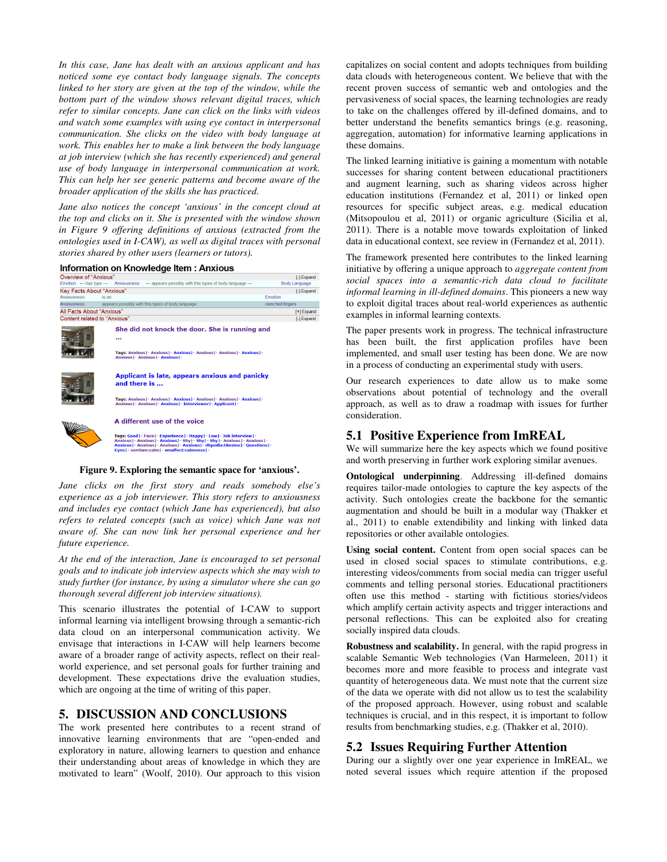*In this case, Jane has dealt with an anxious applicant and has noticed some eye contact body language signals. The concepts linked to her story are given at the top of the window, while the bottom part of the window shows relevant digital traces, which refer to similar concepts. Jane can click on the links with videos and watch some examples with using eye contact in interpersonal communication. She clicks on the video with body language at work. This enables her to make a link between the body language at job interview (which she has recently experienced) and general use of body language in interpersonal communication at work. This can help her see generic patterns and become aware of the broader application of the skills she has practiced.* 

*Jane also notices the concept 'anxious' in the concept cloud at the top and clicks on it. She is presented with the window shown in Figure 9 offering definitions of anxious (extracted from the ontologies used in I-CAW), as well as digital traces with personal stories shared by other users (learners or tutors).*

| Information on Knowledge Item: Anxious |  |  |
|----------------------------------------|--|--|
|                                        |  |  |

|                                             | <u>INTOITRADON ON KNOWIEGGE REIN . ANXIOUS</u>                                                                                                                                                                                                                                              |                  |  |
|---------------------------------------------|---------------------------------------------------------------------------------------------------------------------------------------------------------------------------------------------------------------------------------------------------------------------------------------------|------------------|--|
| Overview of "Anxious"                       |                                                                                                                                                                                                                                                                                             | [-] Expand       |  |
| Emotion $\leftarrow$ has type $\rightarrow$ | $\leftarrow$ appears possibly with this types of body language $\rightarrow$<br>Anxiousness                                                                                                                                                                                                 | Body Language    |  |
|                                             | Key Facts About "Anxious"                                                                                                                                                                                                                                                                   | [-] Expand       |  |
| Anxiousness                                 | is an                                                                                                                                                                                                                                                                                       | Emotion          |  |
| <b>Anxiousness</b>                          | appears possibly with this types of body language                                                                                                                                                                                                                                           | clenched fingers |  |
| All Facts About "Anxious"                   |                                                                                                                                                                                                                                                                                             | [+] Expand       |  |
| Content related to "Anxious"                |                                                                                                                                                                                                                                                                                             | [-] Expand       |  |
|                                             | She did not knock the door. She is running and<br><br>Tags: Anxious   - Anxious   - Anxious   - Anxious   - Anxious   - Anxious   -<br><b>Anxious   - Anxious   - Anxious   -</b>                                                                                                           |                  |  |
|                                             | Applicant is late, appears anxious and panicky<br>and there is                                                                                                                                                                                                                              |                  |  |
|                                             | Tags: Anxious   - Anxious   - Anxious   - Anxious   - Anxious   - Anxious   -<br>Anxious   - Anxious   - Anxious   - Interviewer   - Applicant   -                                                                                                                                          |                  |  |
|                                             | A different use of the voice                                                                                                                                                                                                                                                                |                  |  |
|                                             | Tags: Good - Face - Experience - Happy - Low - Job Interview -<br>Anxious   - Anxious   - Anxious   - Shy   - Shy   - Shy   - Anxious   - Anxious   -<br>Anxious   - Anxious   - Anxious   - Anxious   - dbpedia: Ukraine   - Questions   -<br>Eves  - sentiwn:calm  - wnaffect:calmness  - |                  |  |

#### **Figure 9. Exploring the semantic space for 'anxious'.**

*Jane clicks on the first story and reads somebody else's experience as a job interviewer. This story refers to anxiousness and includes eye contact (which Jane has experienced), but also refers to related concepts (such as voice) which Jane was not aware of. She can now link her personal experience and her future experience.* 

*At the end of the interaction, Jane is encouraged to set personal goals and to indicate job interview aspects which she may wish to study further (for instance, by using a simulator where she can go thorough several different job interview situations).* 

This scenario illustrates the potential of I-CAW to support informal learning via intelligent browsing through a semantic-rich data cloud on an interpersonal communication activity. We envisage that interactions in I-CAW will help learners become aware of a broader range of activity aspects, reflect on their realworld experience, and set personal goals for further training and development. These expectations drive the evaluation studies, which are ongoing at the time of writing of this paper.

### **5. DISCUSSION AND CONCLUSIONS**

The work presented here contributes to a recent strand of innovative learning environments that are "open-ended and exploratory in nature, allowing learners to question and enhance their understanding about areas of knowledge in which they are motivated to learn" (Woolf, 2010). Our approach to this vision capitalizes on social content and adopts techniques from building data clouds with heterogeneous content. We believe that with the recent proven success of semantic web and ontologies and the pervasiveness of social spaces, the learning technologies are ready to take on the challenges offered by ill-defined domains, and to better understand the benefits semantics brings (e.g. reasoning, aggregation, automation) for informative learning applications in these domains.

The linked learning initiative is gaining a momentum with notable successes for sharing content between educational practitioners and augment learning, such as sharing videos across higher education institutions (Fernandez et al, 2011) or linked open resources for specific subject areas, e.g. medical education (Mitsopoulou et al, 2011) or organic agriculture (Sicilia et al, 2011). There is a notable move towards exploitation of linked data in educational context, see review in (Fernandez et al, 2011).

The framework presented here contributes to the linked learning initiative by offering a unique approach to *aggregate content from social spaces into a semantic-rich data cloud to facilitate informal learning in ill-defined domains*. This pioneers a new way to exploit digital traces about real-world experiences as authentic examples in informal learning contexts.

The paper presents work in progress. The technical infrastructure has been built, the first application profiles have been implemented, and small user testing has been done. We are now in a process of conducting an experimental study with users.

Our research experiences to date allow us to make some observations about potential of technology and the overall approach, as well as to draw a roadmap with issues for further consideration.

# **5.1 Positive Experience from ImREAL**

We will summarize here the key aspects which we found positive and worth preserving in further work exploring similar avenues.

**Ontological underpinning**. Addressing ill-defined domains requires tailor-made ontologies to capture the key aspects of the activity. Such ontologies create the backbone for the semantic augmentation and should be built in a modular way (Thakker et al., 2011) to enable extendibility and linking with linked data repositories or other available ontologies.

**Using social content.** Content from open social spaces can be used in closed social spaces to stimulate contributions, e.g. interesting videos/comments from social media can trigger useful comments and telling personal stories. Educational practitioners often use this method - starting with fictitious stories/videos which amplify certain activity aspects and trigger interactions and personal reflections. This can be exploited also for creating socially inspired data clouds.

**Robustness and scalability.** In general, with the rapid progress in scalable Semantic Web technologies (Van Harmeleen, 2011) it becomes more and more feasible to process and integrate vast quantity of heterogeneous data. We must note that the current size of the data we operate with did not allow us to test the scalability of the proposed approach. However, using robust and scalable techniques is crucial, and in this respect, it is important to follow results from benchmarking studies, e.g. (Thakker et al, 2010).

#### **5.2 Issues Requiring Further Attention**

During our a slightly over one year experience in ImREAL, we noted several issues which require attention if the proposed